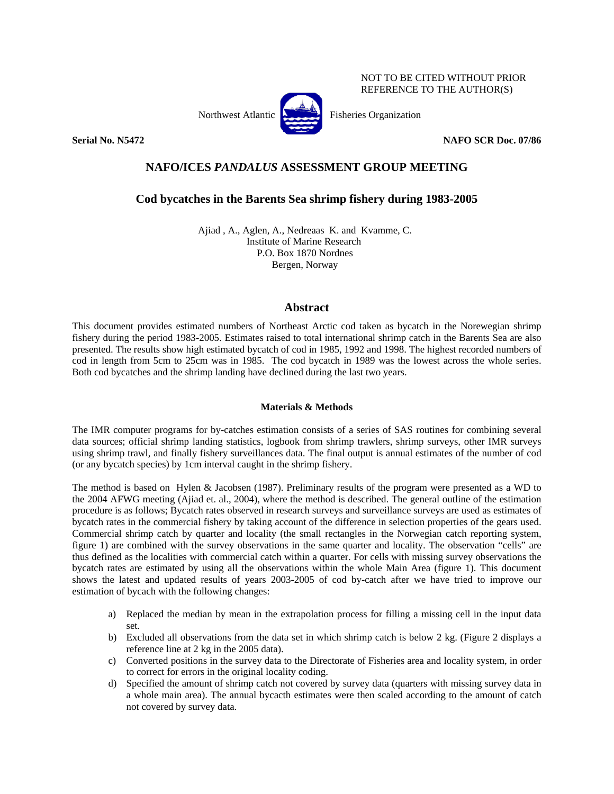NOT TO BE CITED WITHOUT PRIOR REFERENCE TO THE AUTHOR(S)



**Serial No. N5472 NAFO SCR Doc. 07/86** 

# **NAFO/ICES** *PANDALUS* **ASSESSMENT GROUP MEETING**

# **Cod bycatches in the Barents Sea shrimp fishery during 1983-2005**

Ajiad , A., Aglen, A., Nedreaas K. and Kvamme, C. Institute of Marine Research P.O. Box 1870 Nordnes Bergen, Norway

# **Abstract**

This document provides estimated numbers of Northeast Arctic cod taken as bycatch in the Norewegian shrimp fishery during the period 1983-2005. Estimates raised to total international shrimp catch in the Barents Sea are also presented. The results show high estimated bycatch of cod in 1985, 1992 and 1998. The highest recorded numbers of cod in length from 5cm to 25cm was in 1985. The cod bycatch in 1989 was the lowest across the whole series. Both cod bycatches and the shrimp landing have declined during the last two years.

# **Materials & Methods**

The IMR computer programs for by-catches estimation consists of a series of SAS routines for combining several data sources; official shrimp landing statistics, logbook from shrimp trawlers, shrimp surveys, other IMR surveys using shrimp trawl, and finally fishery surveillances data. The final output is annual estimates of the number of cod (or any bycatch species) by 1cm interval caught in the shrimp fishery.

The method is based on Hylen & Jacobsen (1987). Preliminary results of the program were presented as a WD to the 2004 AFWG meeting (Ajiad et. al., 2004), where the method is described. The general outline of the estimation procedure is as follows; Bycatch rates observed in research surveys and surveillance surveys are used as estimates of bycatch rates in the commercial fishery by taking account of the difference in selection properties of the gears used. Commercial shrimp catch by quarter and locality (the small rectangles in the Norwegian catch reporting system, figure 1) are combined with the survey observations in the same quarter and locality. The observation "cells" are thus defined as the localities with commercial catch within a quarter. For cells with missing survey observations the bycatch rates are estimated by using all the observations within the whole Main Area (figure 1). This document shows the latest and updated results of years 2003-2005 of cod by-catch after we have tried to improve our estimation of bycach with the following changes:

- a) Replaced the median by mean in the extrapolation process for filling a missing cell in the input data set.
- b) Excluded all observations from the data set in which shrimp catch is below 2 kg. (Figure 2 displays a reference line at 2 kg in the 2005 data).
- c) Converted positions in the survey data to the Directorate of Fisheries area and locality system, in order to correct for errors in the original locality coding.
- d) Specified the amount of shrimp catch not covered by survey data (quarters with missing survey data in a whole main area). The annual bycacth estimates were then scaled according to the amount of catch not covered by survey data.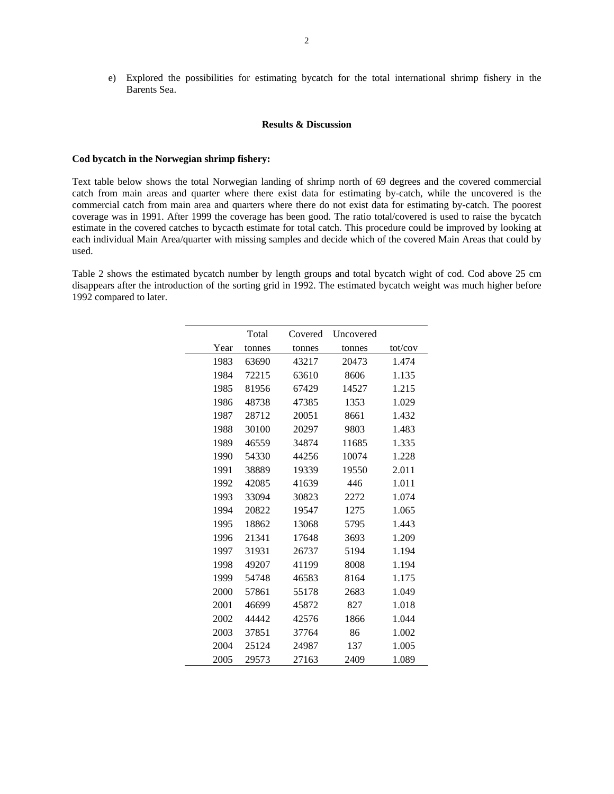e) Explored the possibilities for estimating bycatch for the total international shrimp fishery in the Barents Sea.

#### **Results & Discussion**

### **Cod bycatch in the Norwegian shrimp fishery:**

Text table below shows the total Norwegian landing of shrimp north of 69 degrees and the covered commercial catch from main areas and quarter where there exist data for estimating by-catch, while the uncovered is the commercial catch from main area and quarters where there do not exist data for estimating by-catch. The poorest coverage was in 1991. After 1999 the coverage has been good. The ratio total/covered is used to raise the bycatch estimate in the covered catches to bycacth estimate for total catch. This procedure could be improved by looking at each individual Main Area/quarter with missing samples and decide which of the covered Main Areas that could by used.

Table 2 shows the estimated bycatch number by length groups and total bycatch wight of cod. Cod above 25 cm disappears after the introduction of the sorting grid in 1992. The estimated bycatch weight was much higher before 1992 compared to later.

|      | Total  | Covered | Uncovered |         |
|------|--------|---------|-----------|---------|
| Year | tonnes | tonnes  | tonnes    | tot/cov |
| 1983 | 63690  | 43217   | 20473     | 1.474   |
| 1984 | 72215  | 63610   | 8606      | 1.135   |
| 1985 | 81956  | 67429   | 14527     | 1.215   |
| 1986 | 48738  | 47385   | 1353      | 1.029   |
| 1987 | 28712  | 20051   | 8661      | 1.432   |
| 1988 | 30100  | 20297   | 9803      | 1.483   |
| 1989 | 46559  | 34874   | 11685     | 1.335   |
| 1990 | 54330  | 44256   | 10074     | 1.228   |
| 1991 | 38889  | 19339   | 19550     | 2.011   |
| 1992 | 42085  | 41639   | 446       | 1.011   |
| 1993 | 33094  | 30823   | 2272      | 1.074   |
| 1994 | 20822  | 19547   | 1275      | 1.065   |
| 1995 | 18862  | 13068   | 5795      | 1.443   |
| 1996 | 21341  | 17648   | 3693      | 1.209   |
| 1997 | 31931  | 26737   | 5194      | 1.194   |
| 1998 | 49207  | 41199   | 8008      | 1.194   |
| 1999 | 54748  | 46583   | 8164      | 1.175   |
| 2000 | 57861  | 55178   | 2683      | 1.049   |
| 2001 | 46699  | 45872   | 827       | 1.018   |
| 2002 | 44442  | 42576   | 1866      | 1.044   |
| 2003 | 37851  | 37764   | 86        | 1.002   |
| 2004 | 25124  | 24987   | 137       | 1.005   |
| 2005 | 29573  | 27163   | 2409      | 1.089   |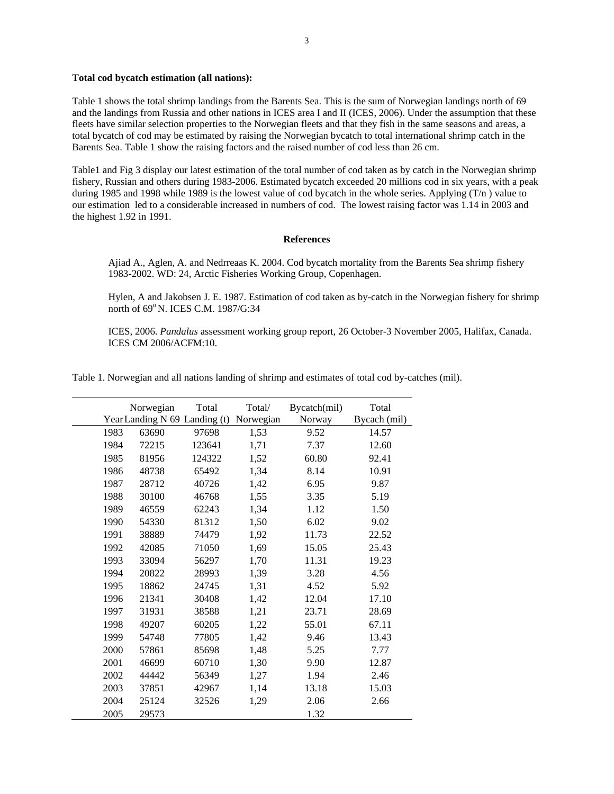### **Total cod bycatch estimation (all nations):**

Table 1 shows the total shrimp landings from the Barents Sea. This is the sum of Norwegian landings north of 69 and the landings from Russia and other nations in ICES area I and II (ICES, 2006). Under the assumption that these fleets have similar selection properties to the Norwegian fleets and that they fish in the same seasons and areas, a total bycatch of cod may be estimated by raising the Norwegian bycatch to total international shrimp catch in the Barents Sea. Table 1 show the raising factors and the raised number of cod less than 26 cm.

Table1 and Fig 3 display our latest estimation of the total number of cod taken as by catch in the Norwegian shrimp fishery, Russian and others during 1983-2006. Estimated bycatch exceeded 20 millions cod in six years, with a peak during 1985 and 1998 while 1989 is the lowest value of cod bycatch in the whole series. Applying (T/n) value to our estimation led to a considerable increased in numbers of cod. The lowest raising factor was 1.14 in 2003 and the highest 1.92 in 1991.

## **References**

Ajiad A., Aglen, A. and Nedrreaas K. 2004. Cod bycatch mortality from the Barents Sea shrimp fishery 1983-2002. WD: 24, Arctic Fisheries Working Group, Copenhagen.

Hylen, A and Jakobsen J. E. 1987. Estimation of cod taken as by-catch in the Norwegian fishery for shrimp north of 69°N. ICES C.M. 1987/G:34

ICES, 2006. *Pandalus* assessment working group report, 26 October-3 November 2005, Halifax, Canada. ICES CM 2006/ACFM:10.

Table 1. Norwegian and all nations landing of shrimp and estimates of total cod by-catches (mil).

|      | Norwegian<br>YearLanding N 69 Landing (t) | Total  | Total/<br>Norwegian | Bycatch(mil)<br>Norway | Total<br>Bycach (mil) |
|------|-------------------------------------------|--------|---------------------|------------------------|-----------------------|
| 1983 | 63690                                     | 97698  | 1,53                | 9.52                   | 14.57                 |
| 1984 | 72215                                     | 123641 | 1,71                | 7.37                   | 12.60                 |
| 1985 | 81956                                     | 124322 | 1,52                | 60.80                  | 92.41                 |
| 1986 | 48738                                     | 65492  | 1,34                | 8.14                   | 10.91                 |
| 1987 | 28712                                     | 40726  | 1,42                | 6.95                   | 9.87                  |
| 1988 | 30100                                     | 46768  | 1,55                | 3.35                   | 5.19                  |
| 1989 | 46559                                     | 62243  | 1,34                | 1.12                   | 1.50                  |
| 1990 | 54330                                     | 81312  | 1,50                | 6.02                   | 9.02                  |
| 1991 | 38889                                     | 74479  | 1,92                | 11.73                  | 22.52                 |
| 1992 | 42085                                     | 71050  | 1,69                | 15.05                  | 25.43                 |
| 1993 | 33094                                     | 56297  | 1,70                | 11.31                  | 19.23                 |
| 1994 | 20822                                     | 28993  | 1,39                | 3.28                   | 4.56                  |
| 1995 | 18862                                     | 24745  | 1,31                | 4.52                   | 5.92                  |
| 1996 | 21341                                     | 30408  | 1,42                | 12.04                  | 17.10                 |
| 1997 | 31931                                     | 38588  | 1,21                | 23.71                  | 28.69                 |
| 1998 | 49207                                     | 60205  | 1,22                | 55.01                  | 67.11                 |
| 1999 | 54748                                     | 77805  | 1,42                | 9.46                   | 13.43                 |
| 2000 | 57861                                     | 85698  | 1,48                | 5.25                   | 7.77                  |
| 2001 | 46699                                     | 60710  | 1,30                | 9.90                   | 12.87                 |
| 2002 | 44442                                     | 56349  | 1,27                | 1.94                   | 2.46                  |
| 2003 | 37851                                     | 42967  | 1,14                | 13.18                  | 15.03                 |
| 2004 | 25124                                     | 32526  | 1,29                | 2.06                   | 2.66                  |
| 2005 | 29573                                     |        |                     | 1.32                   |                       |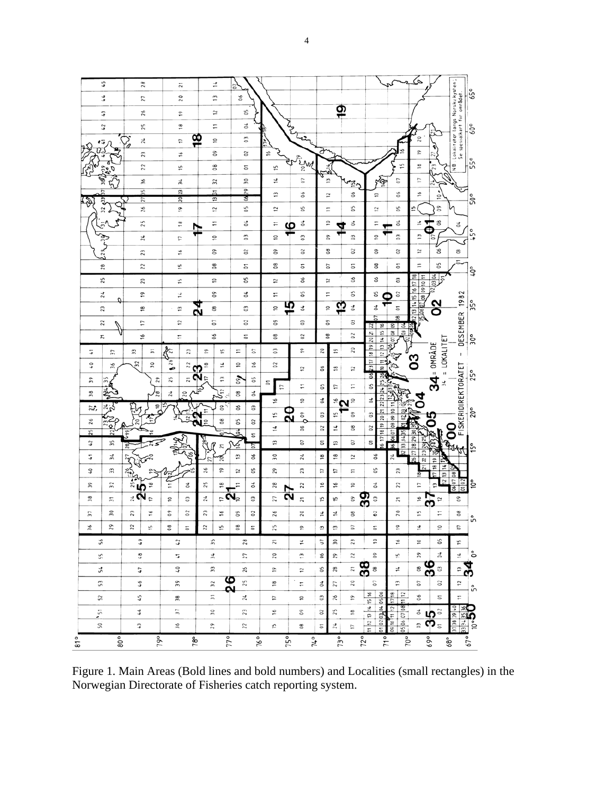

Figure 1. Main Areas (Bold lines and bold numbers) and Localities (small rectangles) in the Norwegian Directorate of Fisheries catch reporting system.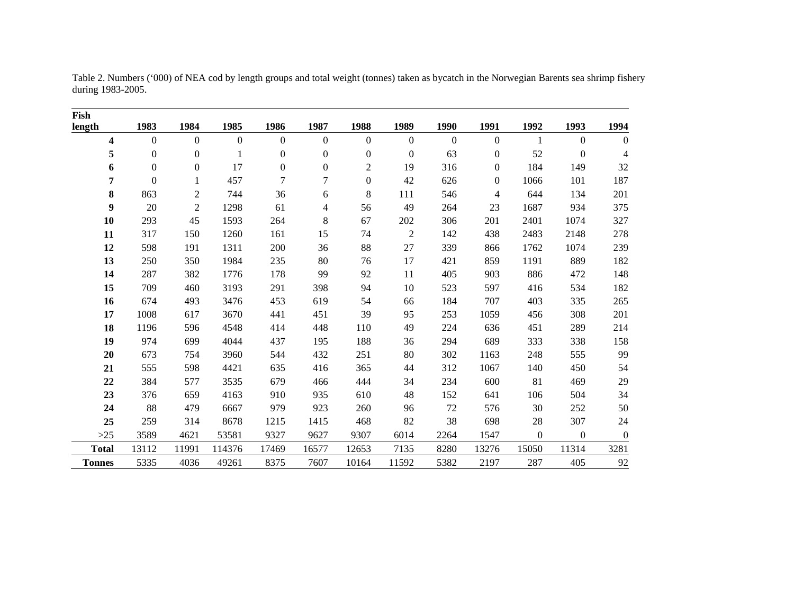| Fish                    |                  |                                                              |              |                  |                  |                  |                  |                  |                |                |                  |                  |
|-------------------------|------------------|--------------------------------------------------------------|--------------|------------------|------------------|------------------|------------------|------------------|----------------|----------------|------------------|------------------|
| length                  | 1983             | 1984                                                         | 1985         | 1986             | 1987             | 1988             | 1989             | 1990             | 1991           | 1992           | 1993             | 1994             |
| $\overline{\mathbf{4}}$ | $\mathbf{0}$     | $\mathbf{0}$                                                 | $\mathbf{0}$ | $\boldsymbol{0}$ | $\boldsymbol{0}$ | $\mathbf{0}$     | $\boldsymbol{0}$ | $\boldsymbol{0}$ | $\mathbf{0}$   | $\mathbf{1}$   | $\overline{0}$   | $\mathbf{0}$     |
| 5                       | $\boldsymbol{0}$ | $\boldsymbol{0}$                                             | 1            | $\boldsymbol{0}$ | $\boldsymbol{0}$ | $\boldsymbol{0}$ | $\boldsymbol{0}$ | 63               | $\theta$       | 52             | $\boldsymbol{0}$ | $\overline{4}$   |
| 6                       | $\boldsymbol{0}$ | $\boldsymbol{0}$                                             | 17           | $\boldsymbol{0}$ | $\boldsymbol{0}$ | $\overline{2}$   | 19               | 316              | $\overline{0}$ | 184            | 149              | 32               |
| 7                       | $\boldsymbol{0}$ | $\mathbf{1}$                                                 | 457          | $\overline{7}$   | $\tau$           | $\boldsymbol{0}$ | 42               | 626              | $\theta$       | 1066           | 101              | 187              |
| 8                       | 863              | $\mathfrak{2}% =\mathfrak{2}\left( \mathfrak{2}\right) ^{2}$ | 744          | 36               | 6                | 8                | 111              | 546              | $\overline{4}$ | 644            | 134              | 201              |
| $\boldsymbol{9}$        | 20               | $\mathbf{2}$                                                 | 1298         | 61               | 4                | 56               | 49               | 264              | 23             | 1687           | 934              | 375              |
| 10                      | 293              | 45                                                           | 1593         | 264              | $\,8\,$          | 67               | 202              | 306              | 201            | 2401           | 1074             | 327              |
| 11                      | 317              | 150                                                          | 1260         | 161              | 15               | 74               | $\overline{2}$   | 142              | 438            | 2483           | 2148             | 278              |
| 12                      | 598              | 191                                                          | 1311         | 200              | 36               | $88\,$           | 27               | 339              | 866            | 1762           | 1074             | 239              |
| 13                      | 250              | 350                                                          | 1984         | 235              | 80               | 76               | 17               | 421              | 859            | 1191           | 889              | 182              |
| 14                      | 287              | 382                                                          | 1776         | 178              | 99               | 92               | 11               | 405              | 903            | 886            | 472              | 148              |
| 15                      | 709              | 460                                                          | 3193         | 291              | 398              | 94               | 10               | 523              | 597            | 416            | 534              | 182              |
| 16                      | 674              | 493                                                          | 3476         | 453              | 619              | 54               | 66               | 184              | 707            | 403            | 335              | 265              |
| 17                      | 1008             | 617                                                          | 3670         | 441              | 451              | 39               | 95               | 253              | 1059           | 456            | 308              | 201              |
| 18                      | 1196             | 596                                                          | 4548         | 414              | 448              | 110              | 49               | 224              | 636            | 451            | 289              | 214              |
| 19                      | 974              | 699                                                          | 4044         | 437              | 195              | 188              | 36               | 294              | 689            | 333            | 338              | 158              |
| 20                      | 673              | 754                                                          | 3960         | 544              | 432              | 251              | 80               | 302              | 1163           | 248            | 555              | 99               |
| 21                      | 555              | 598                                                          | 4421         | 635              | 416              | 365              | 44               | 312              | 1067           | 140            | 450              | 54               |
| 22                      | 384              | 577                                                          | 3535         | 679              | 466              | 444              | 34               | 234              | 600            | 81             | 469              | 29               |
| 23                      | 376              | 659                                                          | 4163         | 910              | 935              | 610              | 48               | 152              | 641            | 106            | 504              | 34               |
| 24                      | 88               | 479                                                          | 6667         | 979              | 923              | 260              | 96               | 72               | 576            | 30             | 252              | 50               |
| 25                      | 259              | 314                                                          | 8678         | 1215             | 1415             | 468              | 82               | 38               | 698            | 28             | 307              | $24\,$           |
| $>25$                   | 3589             | 4621                                                         | 53581        | 9327             | 9627             | 9307             | 6014             | 2264             | 1547           | $\overline{0}$ | $\boldsymbol{0}$ | $\boldsymbol{0}$ |
| <b>Total</b>            | 13112            | 11991                                                        | 114376       | 17469            | 16577            | 12653            | 7135             | 8280             | 13276          | 15050          | 11314            | 3281             |
| <b>Tonnes</b>           | 5335             | 4036                                                         | 49261        | 8375             | 7607             | 10164            | 11592            | 5382             | 2197           | 287            | 405              | 92               |

Table 2. Numbers ('000) of NEA cod by length groups and total weight (tonnes) taken as bycatch in the Norwegian Barents sea shrimp fishery during 1983-2005.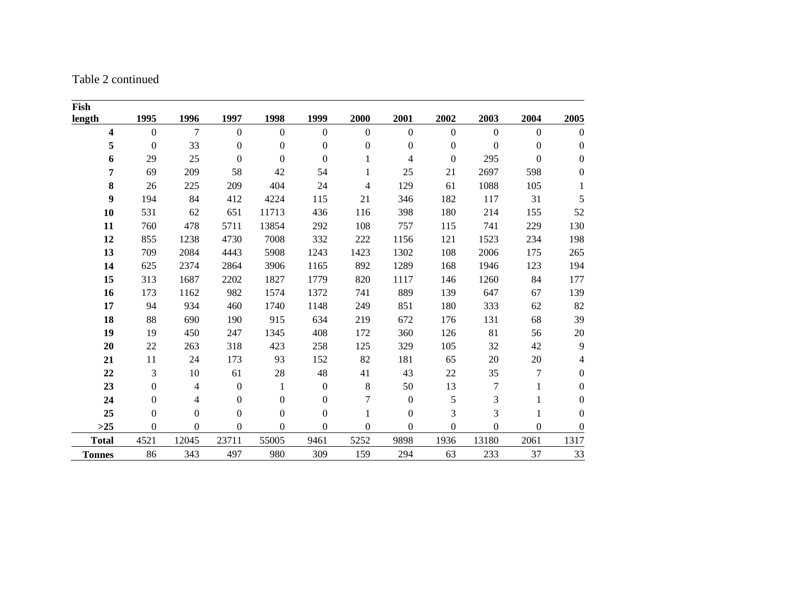Table 2 continued

| Fish          |                  |                  |                  |                  |                  |                |                  |                |                  |                  |                  |
|---------------|------------------|------------------|------------------|------------------|------------------|----------------|------------------|----------------|------------------|------------------|------------------|
| length        | 1995             | 1996             | 1997             | 1998             | 1999             | 2000           | 2001             | 2002           | 2003             | 2004             | 2005             |
| 4             | $\overline{0}$   | 7                | $\mathbf{0}$     | $\mathbf{0}$     | $\Omega$         | $\Omega$       | $\overline{0}$   | $\overline{0}$ | $\theta$         | $\mathbf{0}$     | $\boldsymbol{0}$ |
| 5             | $\boldsymbol{0}$ | 33               | $\boldsymbol{0}$ | $\mathbf{0}$     | $\boldsymbol{0}$ | $\overline{0}$ | $\boldsymbol{0}$ | $\overline{0}$ | $\mathbf{0}$     | $\boldsymbol{0}$ | $\boldsymbol{0}$ |
| 6             | 29               | 25               | $\mathbf{0}$     | $\theta$         | $\Omega$         |                | 4                | $\mathbf{0}$   | 295              | $\boldsymbol{0}$ | $\overline{0}$   |
| 7             | 69               | 209              | 58               | 42               | 54               |                | 25               | 21             | 2697             | 598              | $\mathbf{0}$     |
| 8             | 26               | 225              | 209              | 404              | 24               | 4              | 129              | 61             | 1088             | 105              | 1                |
| 9             | 194              | 84               | 412              | 4224             | 115              | 21             | 346              | 182            | 117              | 31               | 5                |
| 10            | 531              | 62               | 651              | 11713            | 436              | 116            | 398              | 180            | 214              | 155              | 52               |
| 11            | 760              | 478              | 5711             | 13854            | 292              | 108            | 757              | 115            | 741              | 229              | 130              |
| 12            | 855              | 1238             | 4730             | 7008             | 332              | 222            | 1156             | 121            | 1523             | 234              | 198              |
| 13            | 709              | 2084             | 4443             | 5908             | 1243             | 1423           | 1302             | 108            | 2006             | 175              | 265              |
| 14            | 625              | 2374             | 2864             | 3906             | 1165             | 892            | 1289             | 168            | 1946             | 123              | 194              |
| 15            | 313              | 1687             | 2202             | 1827             | 1779             | 820            | 1117             | 146            | 1260             | 84               | 177              |
| 16            | 173              | 1162             | 982              | 1574             | 1372             | 741            | 889              | 139            | 647              | 67               | 139              |
| 17            | 94               | 934              | 460              | 1740             | 1148             | 249            | 851              | 180            | 333              | 62               | 82               |
| 18            | 88               | 690              | 190              | 915              | 634              | 219            | 672              | 176            | 131              | 68               | 39               |
| 19            | 19               | 450              | 247              | 1345             | 408              | 172            | 360              | 126            | 81               | 56               | $20\,$           |
| 20            | 22               | 263              | 318              | 423              | 258              | 125            | 329              | 105            | 32               | 42               | 9                |
| 21            | $11\,$           | 24               | 173              | 93               | 152              | 82             | 181              | 65             | $20\,$           | 20               | 4                |
| 22            | 3                | 10               | 61               | 28               | 48               | 41             | 43               | 22             | 35               | 7                | $\boldsymbol{0}$ |
| 23            | $\boldsymbol{0}$ | 4                | $\boldsymbol{0}$ | 1                | $\boldsymbol{0}$ | $8\,$          | 50               | 13             | 7                | 1                | $\boldsymbol{0}$ |
| 24            | $\boldsymbol{0}$ | 4                | $\boldsymbol{0}$ | $\boldsymbol{0}$ | $\mathbf{0}$     | 7              | $\boldsymbol{0}$ | 5              | 3                | 1                | $\boldsymbol{0}$ |
| 25            | $\boldsymbol{0}$ | $\boldsymbol{0}$ | $\boldsymbol{0}$ | $\boldsymbol{0}$ | $\mathbf{0}$     |                | $\boldsymbol{0}$ | 3              | 3                |                  | $\boldsymbol{0}$ |
| $>25$         | 0                | $\mathbf{0}$     | $\boldsymbol{0}$ | $\theta$         | $\overline{0}$   | $\overline{0}$ | $\boldsymbol{0}$ | $\theta$       | $\boldsymbol{0}$ | $\theta$         | $\boldsymbol{0}$ |
| <b>Total</b>  | 4521             | 12045            | 23711            | 55005            | 9461             | 5252           | 9898             | 1936           | 13180            | 2061             | 1317             |
| <b>Tonnes</b> | 86               | 343              | 497              | 980              | 309              | 159            | 294              | 63             | 233              | 37               | 33               |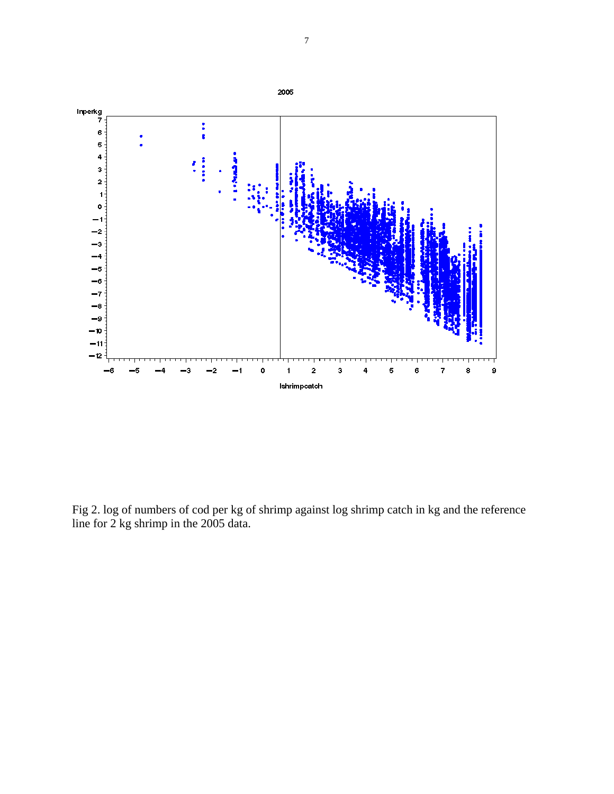

Fig 2. log of numbers of cod per kg of shrimp against log shrimp catch in kg and the reference line for 2 kg shrimp in the 2005 data.